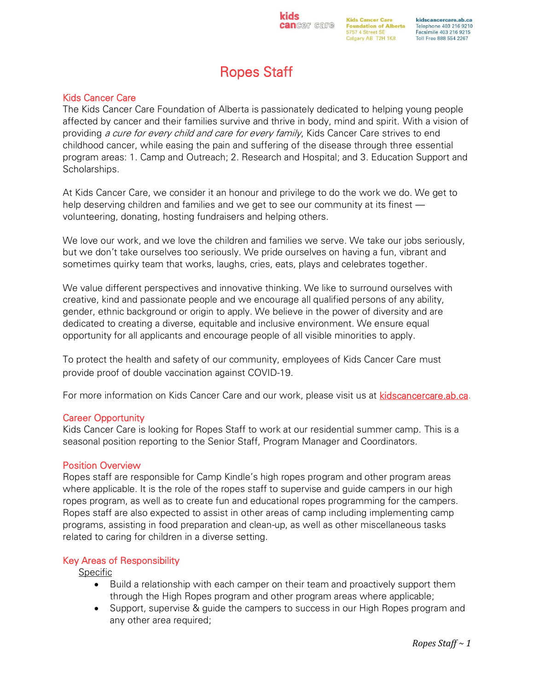## **cancer** care

**kids** 

**Kids Cancer Care** kidscancercare.ab.ca **Foundation of Alberta** Telephone 403 216 9210 5757 4 Street SE Facsimile 403 216 9215 Calgary AB T2H 1K8 Toll Free 888 554 2267

# Ropes Staff

### Kids Cancer Care

The Kids Cancer Care Foundation of Alberta is passionately dedicated to helping young people affected by cancer and their families survive and thrive in body, mind and spirit. With a vision of providing a cure for every child and care for every family, Kids Cancer Care strives to end childhood cancer, while easing the pain and suffering of the disease through three essential program areas: 1. Camp and Outreach; 2. Research and Hospital; and 3. Education Support and Scholarships.

At Kids Cancer Care, we consider it an honour and privilege to do the work we do. We get to help deserving children and families and we get to see our community at its finest volunteering, donating, hosting fundraisers and helping others.

We love our work, and we love the children and families we serve. We take our jobs seriously, but we don't take ourselves too seriously. We pride ourselves on having a fun, vibrant and sometimes quirky team that works, laughs, cries, eats, plays and celebrates together.

We value different perspectives and innovative thinking. We like to surround ourselves with creative, kind and passionate people and we encourage all qualified persons of any ability, gender, ethnic background or origin to apply. We believe in the power of diversity and are dedicated to creating a diverse, equitable and inclusive environment. We ensure equal opportunity for all applicants and encourage people of all visible minorities to apply.

To protect the health and safety of our community, employees of Kids Cancer Care must provide proof of double vaccination against COVID-19.

For more information on Kids Cancer Care and our work, please visit us at [kidscancercare.ab.ca.](http://www.kidscancercare.ab.ca/)

#### Career Opportunity

Kids Cancer Care is looking for Ropes Staff to work at our residential summer camp. This is a seasonal position reporting to the Senior Staff, Program Manager and Coordinators.

#### Position Overview

Ropes staff are responsible for Camp Kindle's high ropes program and other program areas where applicable. It is the role of the ropes staff to supervise and guide campers in our high ropes program, as well as to create fun and educational ropes programming for the campers. Ropes staff are also expected to assist in other areas of camp including implementing camp programs, assisting in food preparation and clean-up, as well as other miscellaneous tasks related to caring for children in a diverse setting.

#### Key Areas of Responsibility

**Specific** 

- Build a relationship with each camper on their team and proactively support them through the High Ropes program and other program areas where applicable;
- Support, supervise & guide the campers to success in our High Ropes program and any other area required;